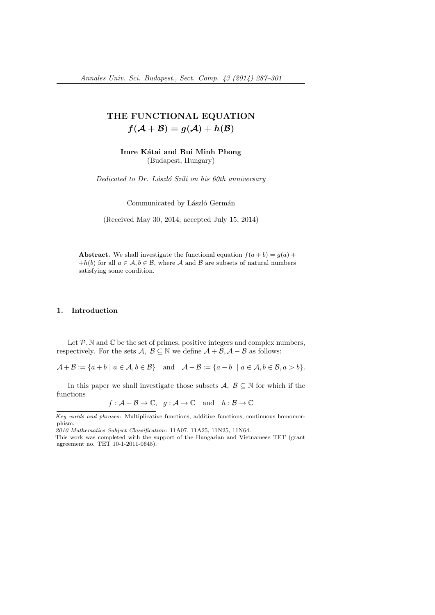# THE FUNCTIONAL EQUATION  $f(A + B) = g(A) + h(B)$

Imre Kátai and Bui Minh Phong (Budapest, Hungary)

Dedicated to Dr. László Szili on his 60th anniversary

Communicated by László Germán

(Received May 30, 2014; accepted July 15, 2014)

Abstract. We shall investigate the functional equation  $f(a + b) = g(a) +$ +h(b) for all  $a \in \mathcal{A}, b \in \mathcal{B}$ , where  $\mathcal A$  and  $\mathcal B$  are subsets of natural numbers satisfying some condition.

### 1. Introduction

Let  $P$ ,  $N$  and  $C$  be the set of primes, positive integers and complex numbers, respectively. For the sets  $\mathcal{A}, \mathcal{B} \subseteq \mathbb{N}$  we define  $\mathcal{A} + \mathcal{B}, \mathcal{A} - \mathcal{B}$  as follows:

 $\mathcal{A} + \mathcal{B} := \{a + b \mid a \in \mathcal{A}, b \in \mathcal{B}\}$  and  $\mathcal{A} - \mathcal{B} := \{a - b \mid a \in \mathcal{A}, b \in \mathcal{B}, a > b\}.$ 

In this paper we shall investigate those subsets  $\mathcal{A}, \mathcal{B} \subseteq \mathbb{N}$  for which if the functions

 $f: \mathcal{A} + \mathcal{B} \to \mathbb{C}, g: \mathcal{A} \to \mathbb{C} \text{ and } h: \mathcal{B} \to \mathbb{C}$ 

Key words and phrases: Multiplicative functions, additive functions, continuous homomorphism.

<sup>2010</sup> Mathematics Subject Classification: 11A07, 11A25, 11N25, 11N64.

This work was completed with the support of the Hungarian and Vietnamese TET (grant agreement no. TET 10-1-2011-0645).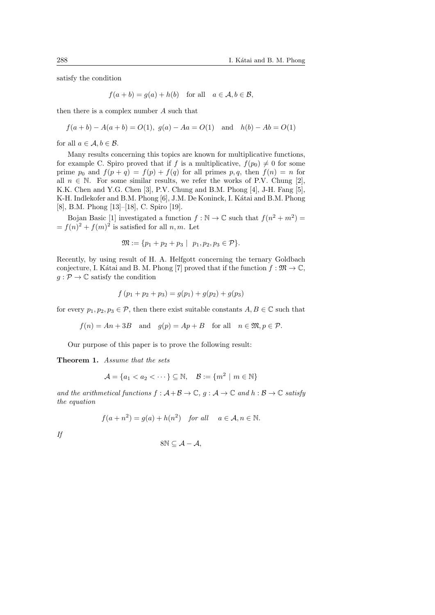satisfy the condition

$$
f(a + b) = g(a) + h(b)
$$
 for all  $a \in A, b \in B$ ,

then there is a complex number A such that

$$
f(a + b) - A(a + b) = O(1), g(a) - Aa = O(1)
$$
 and  $h(b) - Ab = O(1)$ 

for all  $a \in \mathcal{A}, b \in \mathcal{B}$ .

Many results concerning this topics are known for multiplicative functions, for example C. Spiro proved that if f is a multiplicative,  $f(p_0) \neq 0$  for some prime  $p_0$  and  $f(p + q) = f(p) + f(q)$  for all primes  $p, q$ , then  $f(n) = n$  for all  $n \in \mathbb{N}$ . For some similar results, we refer the works of P.V. Chung [2], K.K. Chen and Y.G. Chen [3], P.V. Chung and B.M. Phong [4], J-H. Fang [5], K-H. Indlekofer and B.M. Phong [6], J.M. De Koninck, I. Kátai and B.M. Phong [8], B.M. Phong [13]–[18], C. Spiro [19].

Bojan Basic [1] investigated a function  $f : \mathbb{N} \to \mathbb{C}$  such that  $f(n^2 + m^2) =$  $=f(n)^2+f(m)^2$  is satisfied for all n, m. Let

$$
\mathfrak{M} := \{ p_1 + p_2 + p_3 \mid p_1, p_2, p_3 \in \mathcal{P} \}.
$$

Recently, by using result of H. A. Helfgott concerning the ternary Goldbach conjecture, I. Kátai and B. M. Phong [7] proved that if the function  $f : \mathfrak{M} \to \mathbb{C}$ ,  $g: \mathcal{P} \to \mathbb{C}$  satisfy the condition

$$
f(p_1 + p_2 + p_3) = g(p_1) + g(p_2) + g(p_3)
$$

for every  $p_1, p_2, p_3 \in \mathcal{P}$ , then there exist suitable constants  $A, B \in \mathbb{C}$  such that

 $f(n) = An + 3B$  and  $g(p) = Ap + B$  for all  $n \in \mathfrak{M}, p \in \mathcal{P}$ .

Our purpose of this paper is to prove the following result:

Theorem 1. Assume that the sets

 $\mathcal{A} = \{a_1 < a_2 < \cdots\} \subseteq \mathbb{N}, \quad \mathcal{B} := \{m^2 \mid m \in \mathbb{N}\}\$ 

and the arithmetical functions  $f : \mathcal{A} + \mathcal{B} \to \mathbb{C}$ ,  $g : \mathcal{A} \to \mathbb{C}$  and  $h : \mathcal{B} \to \mathbb{C}$  satisfy the equation

$$
f(a + n^2) = g(a) + h(n^2) \quad \text{for all} \quad a \in \mathcal{A}, n \in \mathbb{N}.
$$

If

$$
8\mathbb{N} \subseteq \mathcal{A} - \mathcal{A},
$$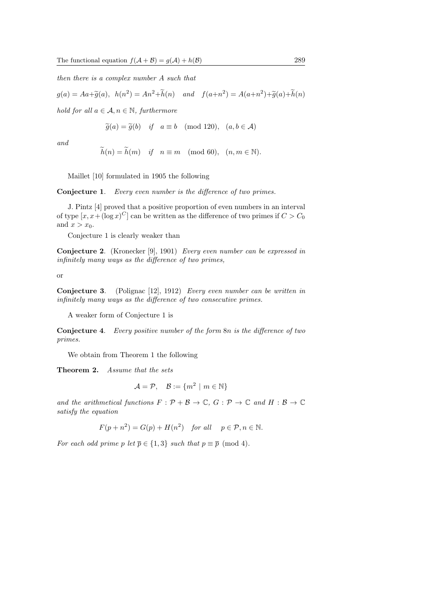then there is a complex number A such that

 $g(a) = Aa + \widetilde{g}(a), \quad h(n^2) = An^2 + \widetilde{h}(n) \quad and \quad f(a+n^2) = A(a+n^2) + \widetilde{g}(a) + \widetilde{h}(n)$ 

hold for all  $a \in \mathcal{A}, n \in \mathbb{N}$ , furthermore

$$
\widetilde{g}(a) = \widetilde{g}(b)
$$
 if  $a \equiv b \pmod{120}$ ,  $(a, b \in \mathcal{A})$ 

and

$$
\widetilde{h}(n) = \widetilde{h}(m)
$$
 if  $n \equiv m \pmod{60}$ ,  $(n, m \in \mathbb{N})$ .

Maillet [10] formulated in 1905 the following

Conjecture 1. Every even number is the difference of two primes.

J. Pintz [4] proved that a positive proportion of even numbers in an interval of type  $[x, x+(\log x)^C]$  can be written as the difference of two primes if  $C > C_0$ and  $x > x_0$ .

Conjecture 1 is clearly weaker than

Conjecture 2. (Kronecker [9], 1901) Every even number can be expressed in infinitely many ways as the difference of two primes,

or

Conjecture 3. (Polignac [12], 1912) Every even number can be written in infinitely many ways as the difference of two consecutive primes.

A weaker form of Conjecture 1 is

Conjecture 4. Every positive number of the form  $8n$  is the difference of two primes.

We obtain from Theorem 1 the following

Theorem 2. Assume that the sets

$$
\mathcal{A} = \mathcal{P}, \quad \mathcal{B} := \{ m^2 \mid m \in \mathbb{N} \}
$$

and the arithmetical functions  $F : \mathcal{P} + \mathcal{B} \to \mathbb{C}$ ,  $G : \mathcal{P} \to \mathbb{C}$  and  $H : \mathcal{B} \to \mathbb{C}$ satisfy the equation

$$
F(p+n^2) = G(p) + H(n^2) \quad \text{for all} \quad p \in \mathcal{P}, n \in \mathbb{N}.
$$

For each odd prime p let  $\overline{p} \in \{1,3\}$  such that  $p \equiv \overline{p} \pmod{4}$ .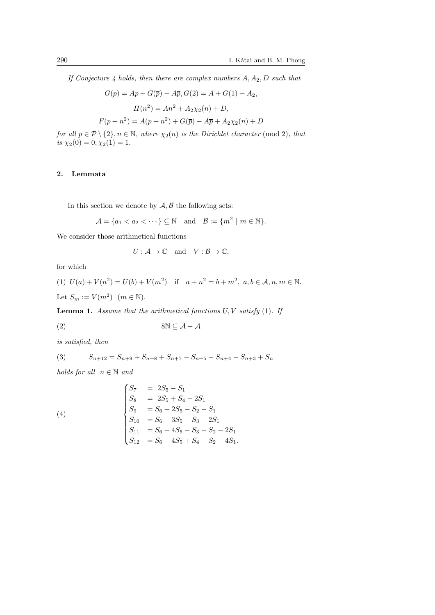If Conjecture 4 holds, then there are complex numbers  $A, A_2, D$  such that

$$
G(p) = Ap + G(\bar{p}) - A\bar{p}, G(2) = A + G(1) + A_2,
$$
  
\n
$$
H(n^2) = An^2 + A_2\chi_2(n) + D,
$$
  
\n
$$
F(p + n^2) = A(p + n^2) + G(\bar{p}) - A\bar{p} + A_2\chi_2(n) + D
$$

for all  $p \in \mathcal{P} \setminus \{2\}, n \in \mathbb{N}$ , where  $\chi_2(n)$  is the Dirichlet character (mod 2), that is  $\chi_2(0) = 0, \chi_2(1) = 1.$ 

## 2. Lemmata

In this section we denote by  $A, B$  the following sets:

$$
\mathcal{A} = \{a_1 < a_2 < \cdots\} \subseteq \mathbb{N} \quad \text{and} \quad \mathcal{B} := \{m^2 \mid m \in \mathbb{N}\}.
$$

We consider those arithmetical functions

$$
U: \mathcal{A} \to \mathbb{C} \quad \text{and} \quad V: \mathcal{B} \to \mathbb{C},
$$

for which

(1) 
$$
U(a) + V(n^2) = U(b) + V(m^2)
$$
 if  $a + n^2 = b + m^2$ ,  $a, b \in A, n, m \in \mathbb{N}$ .  
Let  $S_m := V(m^2)$   $(m \in \mathbb{N})$ .

**Lemma 1.** Assume that the arithmetical functions  $U, V$  satisfy  $(1)$ . If

$$
(2) \t\t\t\t 8N \subseteq \mathcal{A} - \mathcal{A}
$$

is satisfied, then

(3) 
$$
S_{n+12} = S_{n+9} + S_{n+8} + S_{n+7} - S_{n+5} - S_{n+4} - S_{n+3} + S_n
$$

holds for all  $n \in \mathbb{N}$  and

(4)  
\n
$$
\begin{cases}\nS_7 &= 2S_5 - S_1 \\
S_8 &= 2S_5 + S_4 - 2S_1 \\
S_9 &= S_6 + 2S_5 - S_2 - S_1 \\
S_{10} &= S_6 + 3S_5 - S_3 - 2S_1 \\
S_{11} &= S_6 + 4S_5 - S_3 - S_2 - 2S_1 \\
S_{12} &= S_6 + 4S_5 + S_4 - S_2 - 4S_1.\n\end{cases}
$$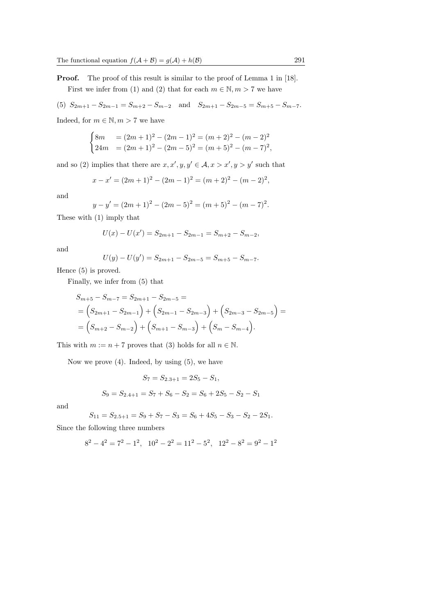**Proof.** The proof of this result is similar to the proof of Lemma 1 in [18]. First we infer from (1) and (2) that for each  $m \in \mathbb{N}, m > 7$  we have

(5) 
$$
S_{2m+1} - S_{2m-1} = S_{m+2} - S_{m-2}
$$
 and  $S_{2m+1} - S_{2m-5} = S_{m+5} - S_{m-7}$ .

Indeed, for  $m \in \mathbb{N}, m > 7$  we have

$$
\begin{cases}\n8m &= (2m+1)^2 - (2m-1)^2 = (m+2)^2 - (m-2)^2 \\
24m &= (2m+1)^2 - (2m-5)^2 = (m+5)^2 - (m-7)^2,\n\end{cases}
$$

and so (2) implies that there are  $x, x', y, y' \in A, x > x', y > y'$  such that

$$
x - x' = (2m + 1)^2 - (2m - 1)^2 = (m + 2)^2 - (m - 2)^2,
$$

and

$$
y - y' = (2m + 1)^2 - (2m - 5)^2 = (m + 5)^2 - (m - 7)^2.
$$

These with (1) imply that

$$
U(x) - U(x') = S_{2m+1} - S_{2m-1} = S_{m+2} - S_{m-2},
$$

and

$$
U(y) - U(y') = S_{2m+1} - S_{2m-5} = S_{m+5} - S_{m-7}.
$$

Hence (5) is proved.

Finally, we infer from (5) that

$$
S_{m+5} - S_{m-7} = S_{2m+1} - S_{2m-5} =
$$
  
=  $(S_{2m+1} - S_{2m-1}) + (S_{2m-1} - S_{2m-3}) + (S_{2m-3} - S_{2m-5}) =$   
=  $(S_{m+2} - S_{m-2}) + (S_{m+1} - S_{m-3}) + (S_m - S_{m-4}).$ 

This with  $m := n + 7$  proves that (3) holds for all  $n \in \mathbb{N}$ .

Now we prove (4). Indeed, by using (5), we have

$$
S_7 = S_{2.3+1} = 2S_5 - S_1,
$$
  
\n
$$
S_9 = S_{2.4+1} = S_7 + S_6 - S_2 = S_6 + 2S_5 - S_2 - S_1
$$

and

$$
S_{11} = S_{2.5+1} = S_9 + S_7 - S_3 = S_6 + 4S_5 - S_3 - S_2 - 2S_1.
$$

Since the following three numbers

$$
8^2 - 4^2 = 7^2 - 1^2
$$
,  $10^2 - 2^2 = 11^2 - 5^2$ ,  $12^2 - 8^2 = 9^2 - 1^2$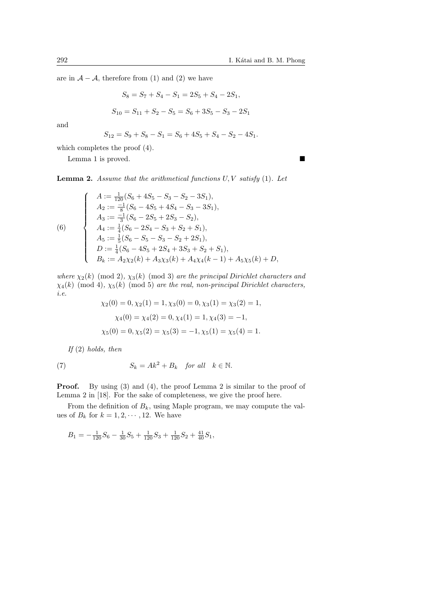are in  $A - A$ , therefore from (1) and (2) we have

$$
S_8 = S_7 + S_4 - S_1 = 2S_5 + S_4 - 2S_1,
$$

$$
S_{10} = S_{11} + S_2 - S_5 = S_6 + 3S_5 - S_3 - 2S_1
$$

and

$$
S_{12} = S_9 + S_8 - S_1 = S_6 + 4S_5 + S_4 - S_2 - 4S_1.
$$

which completes the proof (4).

Lemma 1 is proved.

**Lemma 2.** Assume that the arithmetical functions  $U, V$  satisfy  $(1)$ . Let

(6)  
\n
$$
\begin{cases}\nA := \frac{1}{120}(S_6 + 4S_5 - S_3 - S_2 - 3S_1), \\
A_2 := \frac{-1}{8}(S_6 - 4S_5 + 4S_4 - S_3 - 3S_1), \\
A_3 := \frac{-1}{3}(S_6 - 2S_5 + 2S_3 - S_2), \\
A_4 := \frac{1}{4}(S_6 - 2S_4 - S_3 + S_2 + S_1), \\
A_5 := \frac{1}{5}(S_6 - S_5 - S_3 - S_2 + 2S_1), \\
D := \frac{1}{4}(S_6 - 4S_5 + 2S_4 + 3S_3 + S_2 + S_1), \\
B_k := A_2 \chi_2(k) + A_3 \chi_3(k) + A_4 \chi_4(k - 1) + A_5 \chi_5(k) + D,\n\end{cases}
$$

where  $\chi_2(k) \pmod{2}$ ,  $\chi_3(k) \pmod{3}$  are the principal Dirichlet characters and  $\chi_4(k)$  (mod 4),  $\chi_5(k)$  (mod 5) are the real, non-principal Dirichlet characters, i.e.  $\langle 0 \rangle$   $\langle 0 \rangle$   $\langle 1 \rangle$   $\langle 1 \rangle$   $\langle 0 \rangle$   $\langle 0 \rangle$   $\langle 1 \rangle$   $\langle 0 \rangle$   $\langle 0 \rangle$   $\langle 1 \rangle$ 

$$
\chi_2(0) = 0, \chi_2(1) = 1, \chi_3(0) = 0, \chi_3(1) = \chi_3(2) = 1,
$$
  

$$
\chi_4(0) = \chi_4(2) = 0, \chi_4(1) = 1, \chi_4(3) = -1,
$$
  

$$
\chi_5(0) = 0, \chi_5(2) = \chi_5(3) = -1, \chi_5(1) = \chi_5(4) = 1.
$$

If  $(2)$  holds, then

(7) 
$$
S_k = Ak^2 + B_k \quad \text{for all} \quad k \in \mathbb{N}.
$$

Proof. By using (3) and (4), the proof Lemma 2 is similar to the proof of Lemma 2 in [18]. For the sake of completeness, we give the proof here.

From the definition of  $B_k$ , using Maple program, we may compute the values of  $B_k$  for  $k = 1, 2, \dots, 12$ . We have

$$
B_1 = -\frac{1}{120}S_6 - \frac{1}{30}S_5 + \frac{1}{120}S_3 + \frac{1}{120}S_2 + \frac{41}{40}S_1,
$$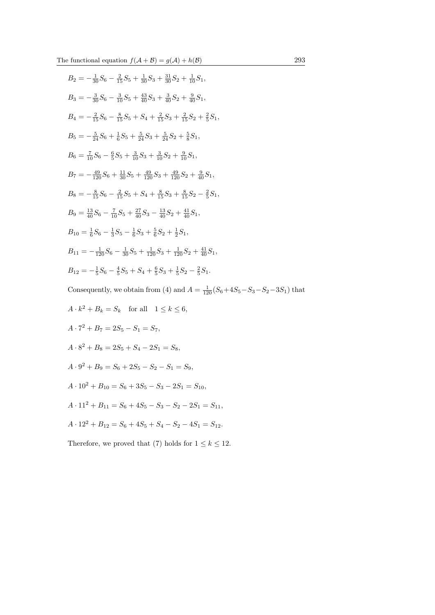The functional equation  $f(\mathcal{A} + \mathcal{B}) = g(\mathcal{A}) + h(\mathcal{B})$  293

$$
B_2 = -\frac{1}{30}S_6 - \frac{2}{15}S_5 + \frac{1}{30}S_3 + \frac{31}{30}S_2 + \frac{1}{10}S_1,
$$
  
\n
$$
B_3 = -\frac{3}{30}S_6 - \frac{3}{10}S_5 + \frac{43}{40}S_3 + \frac{3}{40}S_2 + \frac{9}{40}S_1,
$$
  
\n
$$
B_4 = -\frac{2}{15}S_6 - \frac{8}{15}S_5 + S_4 + \frac{2}{15}S_3 + \frac{2}{15}S_2 + \frac{2}{5}S_1,
$$
  
\n
$$
B_5 = -\frac{5}{24}S_6 + \frac{1}{6}S_5 + \frac{5}{24}S_3 + \frac{5}{24}S_2 + \frac{5}{8}S_1,
$$
  
\n
$$
B_6 = \frac{7}{10}S_6 - \frac{6}{5}S_5 + \frac{3}{10}S_3 + \frac{3}{10}S_2 + \frac{9}{10}S_1,
$$
  
\n
$$
B_7 = -\frac{49}{120}S_6 + \frac{11}{30}S_5 + \frac{49}{120}S_3 + \frac{49}{120}S_2 + \frac{9}{40}S_1,
$$
  
\n
$$
B_8 = -\frac{8}{15}S_6 - \frac{2}{15}S_5 + S_4 + \frac{8}{15}S_3 + \frac{8}{15}S_2 - \frac{2}{5}S_1,
$$
  
\n
$$
B_9 = \frac{13}{40}S_6 - \frac{7}{10}S_5 + \frac{27}{40}S_3 - \frac{13}{40}S_2 + \frac{41}{40}S_1,
$$
  
\n
$$
B_{10} = \frac{1}{6}S_6 - \frac{1}{3}S_5 - \frac{1}{6}S_3 + \frac{5}{6}S_2 + \frac{1}{2}S_1,
$$
  
\n
$$
B_{11} = -\frac{1}{120}S_6 - \frac{1}{30}S_5 + \frac{1}{120}S_3 + \frac{1}{120}S_2 + \frac{41}{4
$$

- $A \cdot 11^2 + B_{11} = S_6 + 4S_5 S_3 S_2 2S_1 = S_{11}$
- $A \cdot 12^2 + B_{12} = S_6 + 4S_5 + S_4 S_2 4S_1 = S_{12}.$

Therefore, we proved that (7) holds for  $1 \leq k \leq 12$ .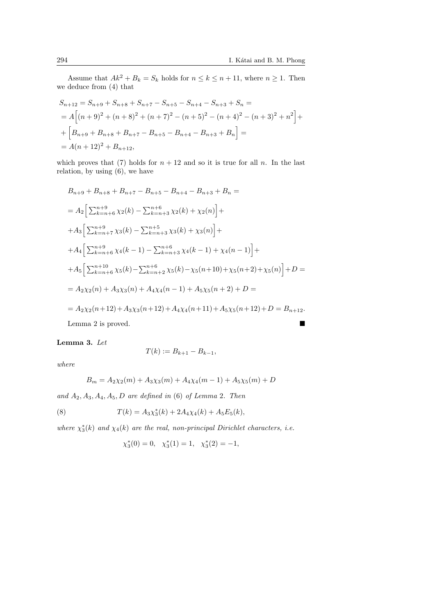Assume that  $Ak^2 + B_k = S_k$  holds for  $n \le k \le n + 11$ , where  $n \ge 1$ . Then we deduce from (4) that

$$
S_{n+12} = S_{n+9} + S_{n+8} + S_{n+7} - S_{n+5} - S_{n+4} - S_{n+3} + S_n =
$$
  
=  $A \left[ (n+9)^2 + (n+8)^2 + (n+7)^2 - (n+5)^2 - (n+4)^2 - (n+3)^2 + n^2 \right] +$   
+  $\left[ B_{n+9} + B_{n+8} + B_{n+7} - B_{n+5} - B_{n+4} - B_{n+3} + B_n \right] =$   
=  $A(n+12)^2 + B_{n+12}$ ,

which proves that (7) holds for  $n + 12$  and so it is true for all n. In the last relation, by using (6), we have

$$
B_{n+9} + B_{n+8} + B_{n+7} - B_{n+5} - B_{n+4} - B_{n+3} + B_n =
$$
  
\n
$$
= A_2 \Big[ \sum_{k=n+6}^{n+9} \chi_2(k) - \sum_{k=n+3}^{n+6} \chi_2(k) + \chi_2(n) \Big] +
$$
  
\n
$$
+ A_3 \Big[ \sum_{k=n+7}^{n+9} \chi_3(k) - \sum_{k=n+3}^{n+5} \chi_3(k) + \chi_3(n) \Big] +
$$
  
\n
$$
+ A_4 \Big[ \sum_{k=n+6}^{n+9} \chi_4(k-1) - \sum_{k=n+3}^{n+6} \chi_4(k-1) + \chi_4(n-1) \Big] +
$$
  
\n
$$
+ A_5 \Big[ \sum_{k=n+6}^{n+10} \chi_5(k) - \sum_{k=n+2}^{n+6} \chi_5(k) - \chi_5(n+10) + \chi_5(n+2) + \chi_5(n) \Big] + D =
$$
  
\n
$$
= A_2 \chi_2(n) + A_3 \chi_3(n) + A_4 \chi_4(n-1) + A_5 \chi_5(n+2) + D =
$$
  
\n
$$
= A_2 \chi_2(n+12) + A_3 \chi_3(n+12) + A_4 \chi_4(n+11) + A_5 \chi_5(n+12) + D = B_{n+12}.
$$

Lemma 2 is proved.

# Lemma 3. Let

$$
T(k) := B_{k+1} - B_{k-1},
$$

where

$$
B_m = A_2 \chi_2(m) + A_3 \chi_3(m) + A_4 \chi_4(m-1) + A_5 \chi_5(m) + D
$$

and  $A_2, A_3, A_4, A_5, D$  are defined in (6) of Lemma 2. Then

(8) 
$$
T(k) = A_3 \chi_3^*(k) + 2A_4 \chi_4(k) + A_5 E_5(k),
$$

where  $\chi_3^*(k)$  and  $\chi_4(k)$  are the real, non-principal Dirichlet characters, i.e.

$$
\chi_3^*(0) = 0
$$
,  $\chi_3^*(1) = 1$ ,  $\chi_3^*(2) = -1$ ,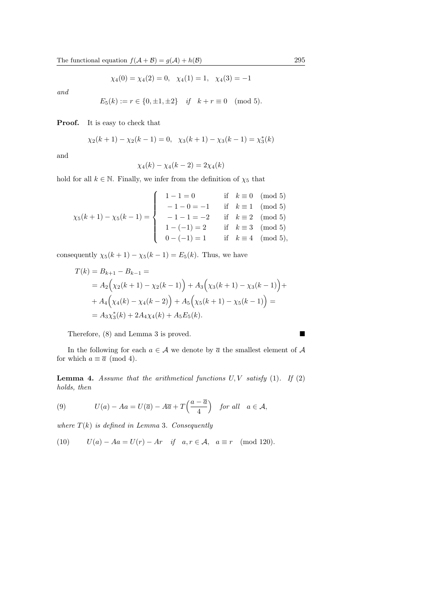$$
\chi_4(0) = \chi_4(2) = 0
$$
,  $\chi_4(1) = 1$ ,  $\chi_4(3) = -1$ 

and

$$
E_5(k) := r \in \{0, \pm 1, \pm 2\} \quad \text{if} \quad k + r \equiv 0 \pmod{5}.
$$

Proof. It is easy to check that

$$
\chi_2(k+1) - \chi_2(k-1) = 0, \quad \chi_3(k+1) - \chi_3(k-1) = \chi_3^*(k)
$$

and

$$
\chi_4(k) - \chi_4(k-2) = 2\chi_4(k)
$$

hold for all  $k\in\mathbb{N}.$  Finally, we infer from the definition of  $\chi_5$  that

$$
\chi_5(k+1) - \chi_5(k-1) = \begin{cases}\n1-1=0 & \text{if } k \equiv 0 \pmod{5} \\
-1-0=-1 & \text{if } k \equiv 1 \pmod{5} \\
-1-1=-2 & \text{if } k \equiv 2 \pmod{5} \\
1-(-1)=2 & \text{if } k \equiv 3 \pmod{5} \\
0-(-1)=1 & \text{if } k \equiv 4 \pmod{5},\n\end{cases}
$$

consequently  $\chi_5(k+1) - \chi_5(k-1) = E_5(k)$ . Thus, we have

$$
T(k) = B_{k+1} - B_{k-1} =
$$
  
=  $A_2 \Big( \chi_2(k+1) - \chi_2(k-1) \Big) + A_3 \Big( \chi_3(k+1) - \chi_3(k-1) \Big) +$   
+  $A_4 \Big( \chi_4(k) - \chi_4(k-2) \Big) + A_5 \Big( \chi_5(k+1) - \chi_5(k-1) \Big) =$   
=  $A_3 \chi_3^*(k) + 2A_4 \chi_4(k) + A_5 E_5(k).$ 

Therefore, (8) and Lemma 3 is proved.

In the following for each  $a \in \mathcal{A}$  we denote by  $\overline{a}$  the smallest element of  $\mathcal{A}$ for which  $a \equiv \overline{a} \pmod{4}$ .

**Lemma 4.** Assume that the arithmetical functions  $U, V$  satisfy (1). If (2) holds, then

(9) 
$$
U(a) - Aa = U(\overline{a}) - A\overline{a} + T\left(\frac{a - \overline{a}}{4}\right)
$$
 for all  $a \in \mathcal{A}$ ,

where  $T(k)$  is defined in Lemma 3. Consequently

(10) 
$$
U(a) - Aa = U(r) - Ar \quad \text{if} \quad a, r \in \mathcal{A}, \quad a \equiv r \pmod{120}.
$$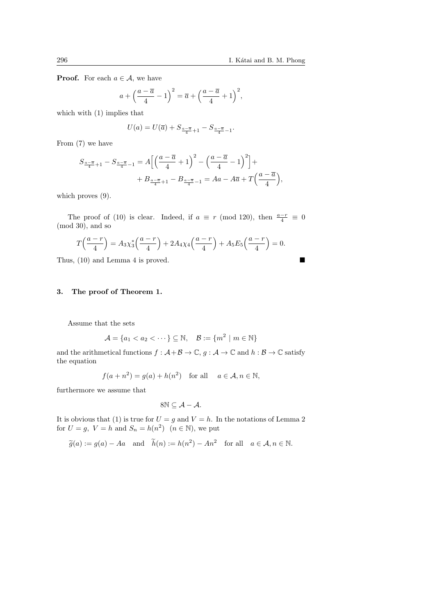**Proof.** For each  $a \in \mathcal{A}$ , we have

$$
a + \left(\frac{a-\overline{a}}{4} - 1\right)^2 = \overline{a} + \left(\frac{a-\overline{a}}{4} + 1\right)^2,
$$

which with (1) implies that

$$
U(a) = U(\overline{a}) + S_{\frac{a-\overline{a}}{4}+1} - S_{\frac{a-\overline{a}}{4}-1}.
$$

From (7) we have

$$
S_{\frac{a-\overline{a}}{4}+1} - S_{\frac{a-\overline{a}}{4}-1} = A\left[\left(\frac{a-\overline{a}}{4}+1\right)^2 - \left(\frac{a-\overline{a}}{4}-1\right)^2\right] +
$$
  
+ 
$$
B_{\frac{a-\overline{a}}{4}+1} - B_{\frac{a-\overline{a}}{4}-1} = Aa - A\overline{a} + T\left(\frac{a-\overline{a}}{4}\right),
$$

which proves  $(9)$ .

The proof of (10) is clear. Indeed, if  $a \equiv r \pmod{120}$ , then  $\frac{a-r}{4} \equiv 0$ (mod 30), and so

$$
T\left(\frac{a-r}{4}\right) = A_3 \chi_3^* \left(\frac{a-r}{4}\right) + 2A_4 \chi_4 \left(\frac{a-r}{4}\right) + A_5 E_5 \left(\frac{a-r}{4}\right) = 0.
$$

Thus, (10) and Lemma 4 is proved.

# 3. The proof of Theorem 1.

Assume that the sets

$$
\mathcal{A} = \{a_1 < a_2 < \cdots\} \subseteq \mathbb{N}, \quad \mathcal{B} := \{m^2 \mid m \in \mathbb{N}\}\
$$

and the arithmetical functions  $f : \mathcal{A} + \mathcal{B} \to \mathbb{C}$ ,  $g : \mathcal{A} \to \mathbb{C}$  and  $h : \mathcal{B} \to \mathbb{C}$  satisfy the equation

$$
f(a + n^2) = g(a) + h(n^2) \quad \text{for all} \quad a \in \mathcal{A}, n \in \mathbb{N},
$$

furthermore we assume that

$$
8N\subseteq \mathcal{A}-\mathcal{A}.
$$

It is obvious that (1) is true for  $U = g$  and  $V = h$ . In the notations of Lemma 2 for  $U = g$ ,  $V = h$  and  $S_n = h(n^2)$   $(n \in \mathbb{N})$ , we put

$$
\widetilde{g}(a) := g(a) - A a
$$
 and  $\widetilde{h}(n) := h(n^2) - An^2$  for all  $a \in \mathcal{A}, n \in \mathbb{N}$ .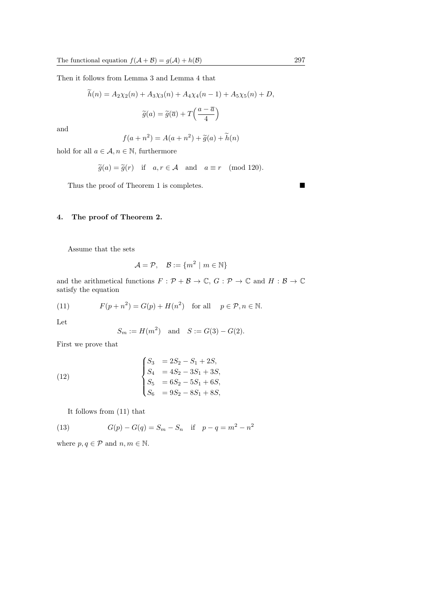Then it follows from Lemma 3 and Lemma 4 that

$$
\widetilde{h}(n) = A_2 \chi_2(n) + A_3 \chi_3(n) + A_4 \chi_4(n-1) + A_5 \chi_5(n) + D,
$$

$$
\widetilde{g}(a) = \widetilde{g}(\overline{a}) + T\left(\frac{a - \overline{a}}{4}\right)
$$

and

$$
f(a + n^2) = A(a + n^2) + \widetilde{g}(a) + \widetilde{h}(n)
$$

hold for all  $a \in \mathcal{A}$ ,  $n \in \mathbb{N}$ , furthermore

$$
\widetilde{g}(a) = \widetilde{g}(r)
$$
 if  $a, r \in \mathcal{A}$  and  $a \equiv r \pmod{120}$ .

Thus the proof of Theorem 1 is completes.

# 4. The proof of Theorem 2.

Assume that the sets

$$
\mathcal{A} = \mathcal{P}, \quad \mathcal{B} := \{m^2 \mid m \in \mathbb{N}\}
$$

and the arithmetical functions  $F: \mathcal{P} + \mathcal{B} \to \mathbb{C}$ ,  $G: \mathcal{P} \to \mathbb{C}$  and  $H: \mathcal{B} \to \mathbb{C}$ satisfy the equation

(11) 
$$
F(p+n^2) = G(p) + H(n^2) \text{ for all } p \in \mathcal{P}, n \in \mathbb{N}.
$$

Let

$$
S_m := H(m^2)
$$
 and  $S := G(3) - G(2)$ .

First we prove that

(12) 
$$
\begin{cases}\nS_3 &= 2S_2 - S_1 + 2S, \\
S_4 &= 4S_2 - 3S_1 + 3S, \\
S_5 &= 6S_2 - 5S_1 + 6S, \\
S_6 &= 9S_2 - 8S_1 + 8S,\n\end{cases}
$$

It follows from (11) that

(13) 
$$
G(p) - G(q) = S_m - S_n \text{ if } p - q = m^2 - n^2
$$

where  $p, q \in \mathcal{P}$  and  $n, m \in \mathbb{N}$ .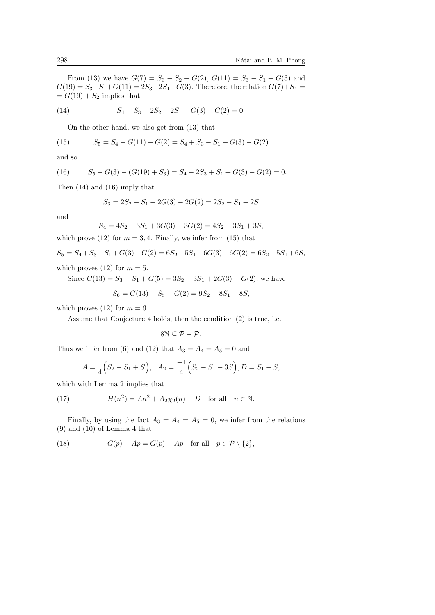From (13) we have  $G(7) = S_3 - S_2 + G(2), G(11) = S_3 - S_1 + G(3)$  and  $G(19) = S_3 - S_1 + G(11) = 2S_3 - 2S_1 + G(3)$ . Therefore, the relation  $G(7) + S_4 =$  $= G(19) + S_2$  implies that

(14) 
$$
S_4 - S_3 - 2S_2 + 2S_1 - G(3) + G(2) = 0.
$$

On the other hand, we also get from (13) that

(15) 
$$
S_5 = S_4 + G(11) - G(2) = S_4 + S_3 - S_1 + G(3) - G(2)
$$

and so

(16) 
$$
S_5 + G(3) - (G(19) + S_3) = S_4 - 2S_3 + S_1 + G(3) - G(2) = 0.
$$

Then (14) and (16) imply that

$$
S_3 = 2S_2 - S_1 + 2G(3) - 2G(2) = 2S_2 - S_1 + 2S
$$

and

 $(17)$ 

$$
S_4 = 4S_2 - 3S_1 + 3G(3) - 3G(2) = 4S_2 - 3S_1 + 3S,
$$

which prove (12) for  $m = 3, 4$ . Finally, we infer from (15) that

$$
S_5 = S_4 + S_3 - S_1 + G(3) - G(2) = 6S_2 - 5S_1 + 6G(3) - 6G(2) = 6S_2 - 5S_1 + 6S,
$$

which proves (12) for  $m = 5$ .

Since  $G(13) = S_3 - S_1 + G(5) = 3S_2 - 3S_1 + 2G(3) - G(2)$ , we have

$$
S_6 = G(13) + S_5 - G(2) = 9S_2 - 8S_1 + 8S,
$$

which proves (12) for  $m = 6$ .

Assume that Conjecture 4 holds, then the condition (2) is true, i.e.

$$
8\mathbb{N}\subseteq \mathcal{P}-\mathcal{P}.
$$

Thus we infer from (6) and (12) that  $A_3 = A_4 = A_5 = 0$  and

$$
A = \frac{1}{4}(S_2 - S_1 + S), A_2 = \frac{-1}{4}(S_2 - S_1 - 3S), D = S_1 - S,
$$

which with Lemma 2 implies that

$$
H(n^2) = An^2 + A_2 \chi_2(n) + D \quad \text{for all} \quad n \in \mathbb{N}.
$$

Finally, by using the fact  $A_3 = A_4 = A_5 = 0$ , we infer from the relations (9) and (10) of Lemma 4 that

(18) 
$$
G(p) - Ap = G(\overline{p}) - A\overline{p} \text{ for all } p \in \mathcal{P} \setminus \{2\},
$$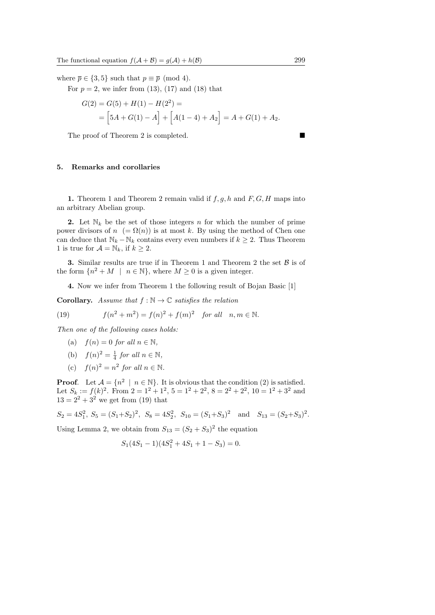where  $\bar{p} \in \{3, 5\}$  such that  $p \equiv \bar{p} \pmod{4}$ .

For  $p = 2$ , we infer from (13), (17) and (18) that

$$
G(2) = G(5) + H(1) - H(2^{2}) =
$$
  
=  $[5A + G(1) - A] + [A(1 - 4) + A_{2}] = A + G(1) + A_{2}.$ 

The proof of Theorem 2 is completed.

## 5. Remarks and corollaries

1. Theorem 1 and Theorem 2 remain valid if  $f, g, h$  and  $F, G, H$  maps into an arbitrary Abelian group.

2. Let  $\mathbb{N}_k$  be the set of those integers n for which the number of prime power divisors of  $n = \Omega(n)$  is at most k. By using the method of Chen one can deduce that  $\mathbb{N}_k - \mathbb{N}_k$  contains every even numbers if  $k \geq 2$ . Thus Theorem 1 is true for  $\mathcal{A} = \mathbb{N}_k$ , if  $k \geq 2$ .

**3.** Similar results are true if in Theorem 1 and Theorem 2 the set  $\beta$  is of the form  $\{n^2 + M \mid n \in \mathbb{N}\}\,$ , where  $M \geq 0$  is a given integer.

4. Now we infer from Theorem 1 the following result of Bojan Basic [1]

**Corollary.** Assume that  $f : \mathbb{N} \to \mathbb{C}$  satisfies the relation

(19) 
$$
f(n^2 + m^2) = f(n)^2 + f(m)^2 \text{ for all } n, m \in \mathbb{N}.
$$

Then one of the following cases holds:

- (a)  $f(n) = 0$  for all  $n \in \mathbb{N}$ ,
- (b)  $f(n)^2 = \frac{1}{4}$  for all  $n \in \mathbb{N}$ ,
- (c)  $f(n)^2 = n^2$  for all  $n \in \mathbb{N}$ .

**Proof.** Let  $\mathcal{A} = \{n^2 \mid n \in \mathbb{N}\}\$ . It is obvious that the condition (2) is satisfied. Let  $S_k := f(k)^2$ . From  $2 = 1^2 + 1^2$ ,  $5 = 1^2 + 2^2$ ,  $8 = 2^2 + 2^2$ ,  $10 = 1^2 + 3^2$  and  $13 = 2^2 + 3^2$  we get from (19) that

$$
S_2 = 4S_1^2
$$
,  $S_5 = (S_1 + S_2)^2$ ,  $S_8 = 4S_2^2$ ,  $S_{10} = (S_1 + S_3)^2$  and  $S_{13} = (S_2 + S_3)^2$ .

Using Lemma 2, we obtain from  $S_{13} = (S_2 + S_3)^2$  the equation

$$
S_1(4S_1 - 1)(4S_1^2 + 4S_1 + 1 - S_3) = 0.
$$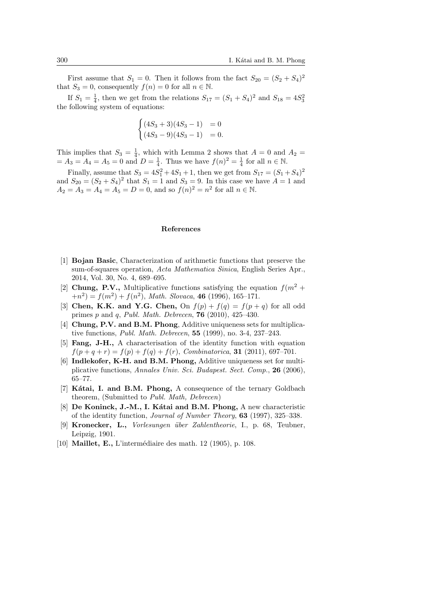First assume that  $S_1 = 0$ . Then it follows from the fact  $S_{20} = (S_2 + S_4)^2$ that  $S_3 = 0$ , consequently  $f(n) = 0$  for all  $n \in \mathbb{N}$ .

If  $S_1 = \frac{1}{4}$ , then we get from the relations  $S_{17} = (S_1 + S_4)^2$  and  $S_{18} = 4S_3^2$ the following system of equations:

$$
\begin{cases} (4S_3 + 3)(4S_3 - 1) & = 0\\ (4S_3 - 9)(4S_3 - 1) & = 0. \end{cases}
$$

This implies that  $S_3 = \frac{1}{4}$ , which with Lemma 2 shows that  $A = 0$  and  $A_2 =$  $= A_3 = A_4 = A_5 = 0$  and  $D = \frac{1}{4}$ . Thus we have  $f(n)^2 = \frac{1}{4}$  for all  $n \in \mathbb{N}$ .

Finally, assume that  $S_3 = 4S_1^2 + 4S_1 + 1$ , then we get from  $S_{17} = (S_1 + S_4)^2$ and  $S_{20} = (S_2 + S_4)^2$  that  $S_1 = 1$  and  $S_3 = 9$ . In this case we have  $A = 1$  and  $A_2 = A_3 = A_4 = A_5 = D = 0$ , and so  $f(n)^2 = n^2$  for all  $n \in \mathbb{N}$ .

#### References

- [1] Bojan Basic, Characterization of arithmetic functions that preserve the sum-of-squares operation, Acta Mathematica Sinica, English Series Apr., 2014, Vol. 30, No. 4, 689–695.
- [2] Chung, P.V., Multiplicative functions satisfying the equation  $f(m^2 +$  $(n^2) = f(m^2) + f(n^2)$ , Math. Slovaca, 46 (1996), 165-171.
- [3] Chen, K.K. and Y.G. Chen, On  $f(p) + f(q) = f(p+q)$  for all odd primes  $p$  and  $q$ , Publ. Math. Debrecen, 76 (2010), 425-430.
- [4] Chung, P.V. and B.M. Phong, Additive uniqueness sets for multiplicative functions, Publ. Math. Debrecen, 55 (1999), no. 3-4, 237–243.
- [5] Fang, J-H., A characterisation of the identity function with equation  $f(p+q+r) = f(p) + f(q) + f(r)$ , Combinatorica, 31 (2011), 697-701.
- [6] Indlekofer, K-H. and B.M. Phong, Additive uniqueness set for multiplicative functions, Annales Univ. Sci. Budapest. Sect. Comp., 26 (2006), 65–77.
- [7] Kátai, I. and B.M. Phong, A consequence of the ternary Goldbach theorem, (Submitted to Publ. Math, Debrecen)
- [8] De Koninck, J.-M., I. Kátai and B.M. Phong, A new characteristic of the identity function, Journal of Number Theory, 63 (1997), 325–338.
- [9] Kronecker, L., Vorlesungen über Zahlentheorie, I., p. 68, Teubner, Leipzig, 1901.
- [10] **Maillet, E.,** L'intermédiaire des math. 12 (1905), p. 108.